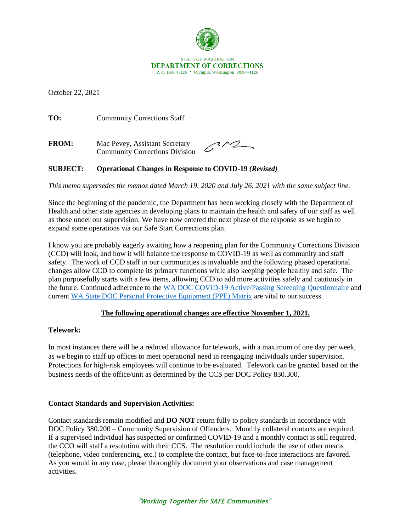

October 22, 2021

TO: Community Corrections Staff

**FROM:** Mac Pevey, Assistant Secretary Community Corrections Division

 $312$ 

## **SUBJECT: Operational Changes in Response to COVID-19** *(Revised)*

*This memo supersedes the memos dated March 19, 2020 and July 26, 2021 with the same subject line.*

Since the beginning of the pandemic, the Department has been working closely with the Department of Health and other state agencies in developing plans to maintain the health and safety of our staff as well as those under our supervision. We have now entered the next phase of the response as we begin to expand some operations via our Safe Start Corrections plan.

I know you are probably eagerly awaiting how a reopening plan for the Community Corrections Division (CCD) will look, and how it will balance the response to COVID-19 as well as community and staff safety. The work of CCD staff in our communities is invaluable and the following phased operational changes allow CCD to complete its primary functions while also keeping people healthy and safe. The plan purposefully starts with a few items, allowing CCD to add more activities safely and cautiously in the future. Continued adherence to the [WA DOC COVID-19 Active/Passing Screening Questionnaire](http://internetdemo/corrections/covid-19/docs/active-screening-questionnaire.pdf) and current [WA State DOC Personal Protective Equipment \(PPE\) Matrix](https://doc.wa.gov/corrections/covid-19/docs/ppe-matrix.pdf) are vital to our success.

#### **The following operational changes are effective November 1, 2021.**

#### **Telework:**

In most instances there will be a reduced allowance for telework, with a maximum of one day per week, as we begin to staff up offices to meet operational need in reengaging individuals under supervision. Protections for high-risk employees will continue to be evaluated. Telework can be granted based on the business needs of the office/unit as determined by the CCS per DOC Policy 830.300.

#### **Contact Standards and Supervision Activities:**

Contact standards remain modified and **DO NOT** return fully to policy standards in accordance with DOC Policy 380.200 – Community Supervision of Offenders. Monthly collateral contacts are required. If a supervised individual has suspected or confirmed COVID-19 and a monthly contact is still required, the CCO will staff a resolution with their CCS. The resolution could include the use of other means (telephone, video conferencing, etc.) to complete the contact, but face-to-face interactions are favored. As you would in any case, please thoroughly document your observations and case management activities.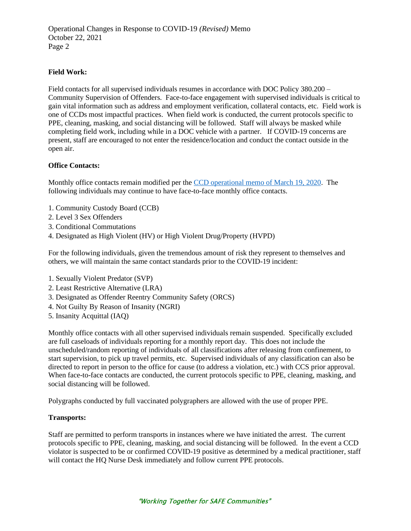Operational Changes in Response to COVID-19 *(Revised)* Memo October 22, 2021 Page 2

# **Field Work:**

Field contacts for all supervised individuals resumes in accordance with DOC Policy 380.200 – Community Supervision of Offenders. Face-to-face engagement with supervised individuals is critical to gain vital information such as address and employment verification, collateral contacts, etc. Field work is one of CCDs most impactful practices. When field work is conducted, the current protocols specific to PPE, cleaning, masking, and social distancing will be followed. Staff will always be masked while completing field work, including while in a DOC vehicle with a partner. If COVID-19 concerns are present, staff are encouraged to not enter the residence/location and conduct the contact outside in the open air.

#### **Office Contacts:**

Monthly office contacts remain modified per the [CCD operational memo of March 19, 2020.](http://wadoc/sites/ccd/AssistantSecretaryMemos/CCD.Operational.Changes.Revised.03.19.2020.pdf) The following individuals may continue to have face-to-face monthly office contacts.

- 1. Community Custody Board (CCB)
- 2. Level 3 Sex Offenders
- 3. Conditional Commutations
- 4. Designated as High Violent (HV) or High Violent Drug/Property (HVPD)

For the following individuals, given the tremendous amount of risk they represent to themselves and others, we will maintain the same contact standards prior to the COVID-19 incident:

- 1. Sexually Violent Predator (SVP)
- 2. Least Restrictive Alternative (LRA)
- 3. Designated as Offender Reentry Community Safety (ORCS)
- 4. Not Guilty By Reason of Insanity (NGRI)
- 5. Insanity Acquittal (IAQ)

Monthly office contacts with all other supervised individuals remain suspended. Specifically excluded are full caseloads of individuals reporting for a monthly report day. This does not include the unscheduled/random reporting of individuals of all classifications after releasing from confinement, to start supervision, to pick up travel permits, etc. Supervised individuals of any classification can also be directed to report in person to the office for cause (to address a violation, etc.) with CCS prior approval. When face-to-face contacts are conducted, the current protocols specific to PPE, cleaning, masking, and social distancing will be followed.

Polygraphs conducted by full vaccinated polygraphers are allowed with the use of proper PPE.

#### **Transports:**

Staff are permitted to perform transports in instances where we have initiated the arrest. The current protocols specific to PPE, cleaning, masking, and social distancing will be followed. In the event a CCD violator is suspected to be or confirmed COVID-19 positive as determined by a medical practitioner, staff will contact the HQ Nurse Desk immediately and follow current PPE protocols.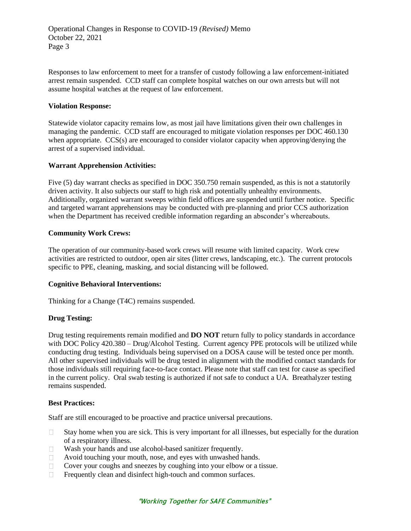Responses to law enforcement to meet for a transfer of custody following a law enforcement-initiated arrest remain suspended. CCD staff can complete hospital watches on our own arrests but will not assume hospital watches at the request of law enforcement.

#### **Violation Response:**

Statewide violator capacity remains low, as most jail have limitations given their own challenges in managing the pandemic. CCD staff are encouraged to mitigate violation responses per DOC 460.130 when appropriate. CCS(s) are encouraged to consider violator capacity when approving/denying the arrest of a supervised individual.

## **Warrant Apprehension Activities:**

Five (5) day warrant checks as specified in DOC 350.750 remain suspended, as this is not a statutorily driven activity. It also subjects our staff to high risk and potentially unhealthy environments. Additionally, organized warrant sweeps within field offices are suspended until further notice. Specific and targeted warrant apprehensions may be conducted with pre-planning and prior CCS authorization when the Department has received credible information regarding an absconder's whereabouts.

## **Community Work Crews:**

The operation of our community-based work crews will resume with limited capacity. Work crew activities are restricted to outdoor, open air sites (litter crews, landscaping, etc.). The current protocols specific to PPE, cleaning, masking, and social distancing will be followed.

#### **Cognitive Behavioral Interventions:**

Thinking for a Change (T4C) remains suspended.

#### **Drug Testing:**

Drug testing requirements remain modified and **DO NOT** return fully to policy standards in accordance with DOC Policy 420.380 – Drug/Alcohol Testing. Current agency PPE protocols will be utilized while conducting drug testing. Individuals being supervised on a DOSA cause will be tested once per month. All other supervised individuals will be drug tested in alignment with the modified contact standards for those individuals still requiring face-to-face contact. Please note that staff can test for cause as specified in the current policy. Oral swab testing is authorized if not safe to conduct a UA. Breathalyzer testing remains suspended.

#### **Best Practices:**

Staff are still encouraged to be proactive and practice universal precautions.

- Stay home when you are sick. This is very important for all illnesses, but especially for the duration  $\Box$ of a respiratory illness.
- Wash your hands and use alcohol-based sanitizer frequently.  $\Box$
- $\Box$ Avoid touching your mouth, nose, and eyes with unwashed hands.
- Cover your coughs and sneezes by coughing into your elbow or a tissue.  $\Box$
- Frequently clean and disinfect high-touch and common surfaces.  $\Box$